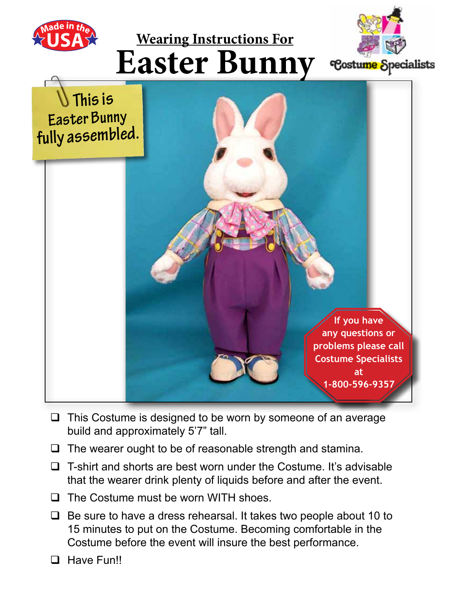





- $\Box$  This Costume is designed to be worn by someone of an average build and approximately 5'7" tall.
- $\Box$  The wearer ought to be of reasonable strength and stamina.
- $\Box$  T-shirt and shorts are best worn under the Costume. It's advisable that the wearer drink plenty of liquids before and after the event.
- $\Box$  The Costume must be worn WITH shoes.
- $\Box$  Be sure to have a dress rehearsal. It takes two people about 10 to 15 minutes to put on the Costume. Becoming comfortable in the Costume before the event will insure the best performance.
- **Q** Have Fun!!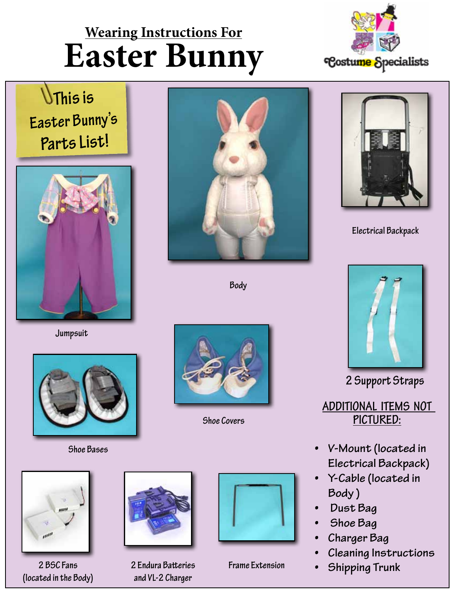

 **This is Easter Bunny's Parts List!**



**Jumpsuit**



**Shoe Bases**



**Body**



**Shoe Covers**



**2 BSC Fans (located in the Body)**



**2 Endura Batteries and VL-2 Charger**



**Frame Extension**



**Electrical Backpack**



**2 Support Straps**

**Additional Items not Pictured:**

- **• V-Mount (located in Electrical Backpack)**
- **• Y-Cable (located in Body )**
- **• Dust Bag**
- **• Shoe Bag**
- **• Charger Bag**
- **• Cleaning Instructions**
- **• Shipping Trunk**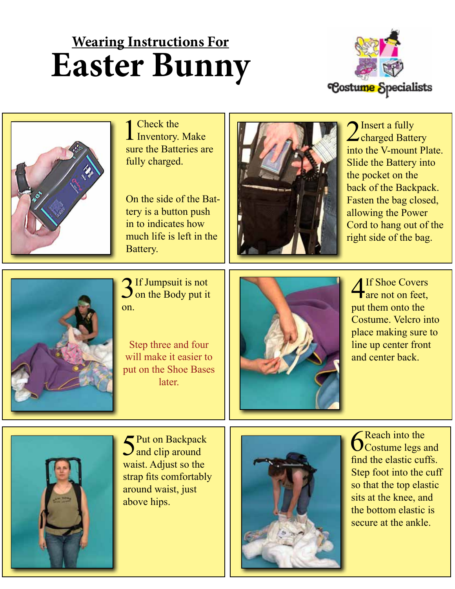



1 Check the Inventory. Make sure the Batteries are fully charged.

On the side of the Battery is a button push in to indicates how much life is left in the Battery.



Insert a fully  $\angle$ charged Battery into the V-mount Plate. Slide the Battery into the pocket on the back of the Backpack. Fasten the bag closed, allowing the Power Cord to hang out of the right side of the bag.



3 If Jumpsuit is not on the Body put it on.

Step three and four will make it easier to put on the Shoe Bases later.



4If Shoe Covers are not on feet, put them onto the Costume. Velcro into place making sure to line up center front and center back.



5Put on Backpack  $\mathbf{\mathcal{J}}$  and clip around waist. Adjust so the strap fits comfortably around waist, just above hips.



**6** Reach into the costume legs and find the elastic cuffs. Step foot into the cuff so that the top elastic sits at the knee, and the bottom elastic is secure at the ankle.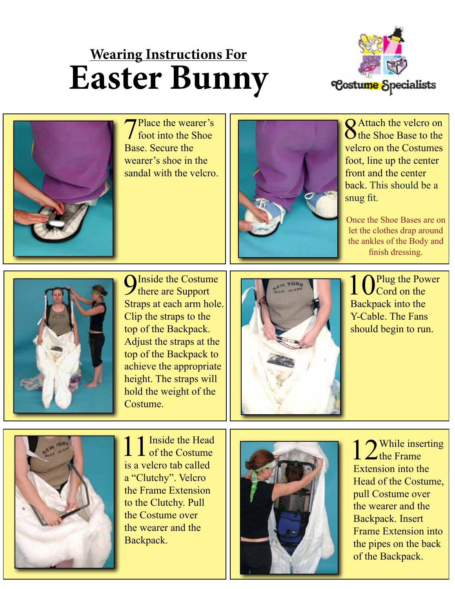



Place the wearer's foot into the Shoe Base. Secure the wearer's shoe in the sandal with the velcro.



**Q** Attach the velcro on  $\bigcirc$  the Shoe Base to the velcro on the Costumes foot, line up the center front and the center back. This should be a snug fit.

Once the Shoe Bases are on let the clothes drap around the ankles of the Body and finish dressing.



**O**Inside the Costume **T** there are Support Straps at each arm hole. Clip the straps to the top of the Backpack. Adjust the straps at the top of the Backpack to achieve the appropriate height. The straps will hold the weight of the Costume.



Plug the Power  $\bigcup$  Cord on the Backpack into the Y-Cable. The Fans should begin to run.



1 1 Inside the Head is a velcro tab called a "Clutchy". Velcro the Frame Extension to the Clutchy. Pull the Costume over the wearer and the Backpack.



1 2While inserting Extension into the Head of the Costume, pull Costume over the wearer and the Backpack. Insert Frame Extension into the pipes on the back of the Backpack.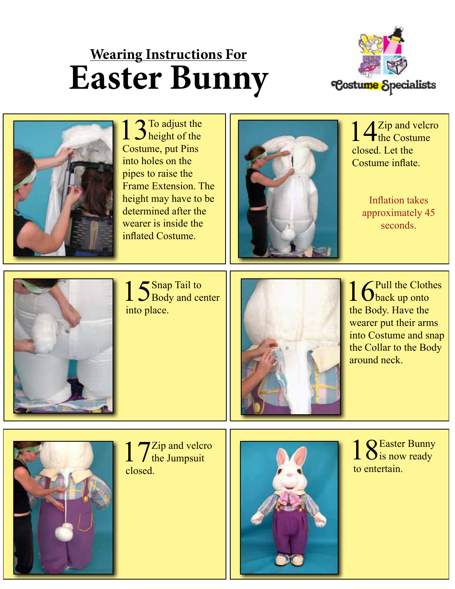



13To adjust the Costume, put Pins into holes on the pipes to raise the Frame Extension. The height may have to be determined after the wearer is inside the inflated Costume.



14<sup>Zip and velcro</sup> closed. Let the Costume inflate.

Inflation takes approximately 45 seconds.



1 S Snap Tail to Body and center into place.



16<sup>Pull the Clothes</sup> the Body. Have the wearer put their arms into Costume and snap the Collar to the Body around neck.



1 7<sup>Zip and velcro</sup> closed.



18Easter Bunny<br>
is now ready to entertain.